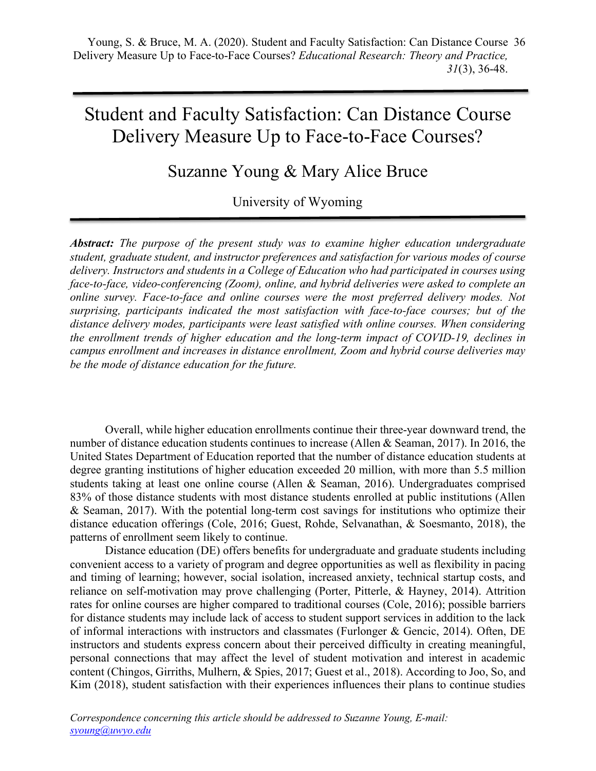# Student and Faculty Satisfaction: Can Distance Course Delivery Measure Up to Face-to-Face Courses?

# Suzanne Young & Mary Alice Bruce

# University of Wyoming

*Abstract: The purpose of the present study was to examine higher education undergraduate student, graduate student, and instructor preferences and satisfaction for various modes of course delivery. Instructors and students in a College of Education who had participated in courses using face-to-face, video-conferencing (Zoom), online, and hybrid deliveries were asked to complete an online survey. Face-to-face and online courses were the most preferred delivery modes. Not surprising, participants indicated the most satisfaction with face-to-face courses; but of the distance delivery modes, participants were least satisfied with online courses. When considering the enrollment trends of higher education and the long-term impact of COVID-19, declines in campus enrollment and increases in distance enrollment, Zoom and hybrid course deliveries may be the mode of distance education for the future.*

Overall, while higher education enrollments continue their three-year downward trend, the number of distance education students continues to increase (Allen & Seaman, 2017). In 2016, the United States Department of Education reported that the number of distance education students at degree granting institutions of higher education exceeded 20 million, with more than 5.5 million students taking at least one online course (Allen & Seaman, 2016). Undergraduates comprised 83% of those distance students with most distance students enrolled at public institutions (Allen & Seaman, 2017). With the potential long-term cost savings for institutions who optimize their distance education offerings (Cole, 2016; Guest, Rohde, Selvanathan, & Soesmanto, 2018), the patterns of enrollment seem likely to continue.

Distance education (DE) offers benefits for undergraduate and graduate students including convenient access to a variety of program and degree opportunities as well as flexibility in pacing and timing of learning; however, social isolation, increased anxiety, technical startup costs, and reliance on self-motivation may prove challenging (Porter, Pitterle, & Hayney, 2014). Attrition rates for online courses are higher compared to traditional courses (Cole, 2016); possible barriers for distance students may include lack of access to student support services in addition to the lack of informal interactions with instructors and classmates (Furlonger  $\&$  Gencic, 2014). Often, DE instructors and students express concern about their perceived difficulty in creating meaningful, personal connections that may affect the level of student motivation and interest in academic content (Chingos, Girriths, Mulhern, & Spies, 2017; Guest et al., 2018). According to Joo, So, and Kim (2018), student satisfaction with their experiences influences their plans to continue studies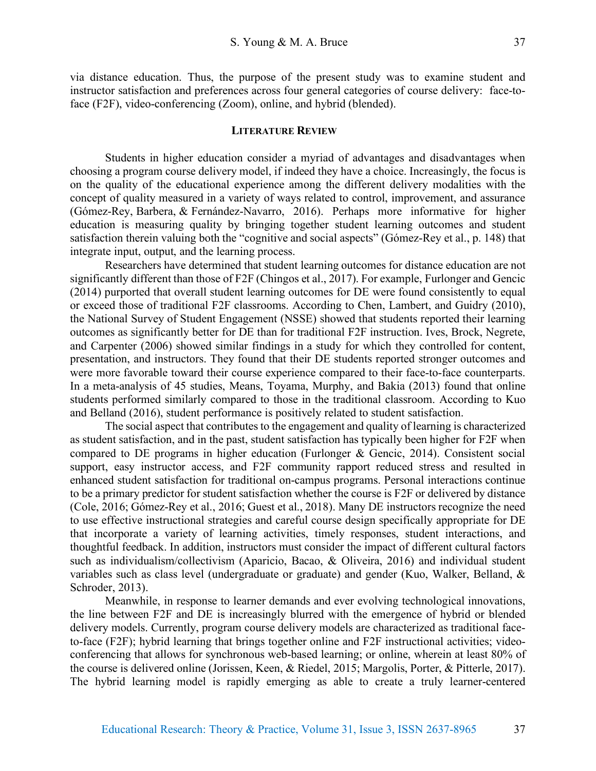via distance education. Thus, the purpose of the present study was to examine student and instructor satisfaction and preferences across four general categories of course delivery: face-toface (F2F), video-conferencing (Zoom), online, and hybrid (blended).

#### **LITERATURE REVIEW**

Students in higher education consider a myriad of advantages and disadvantages when choosing a program course delivery model, if indeed they have a choice. Increasingly, the focus is on the quality of the educational experience among the different delivery modalities with the concept of quality measured in a variety of ways related to control, improvement, and assurance (Gómez-Rey, Barbera, & Fernández-Navarro, 2016). Perhaps more informative for higher education is measuring quality by bringing together student learning outcomes and student satisfaction therein valuing both the "cognitive and social aspects" (Gómez-Rey et al., p. 148) that integrate input, output, and the learning process.

Researchers have determined that student learning outcomes for distance education are not significantly different than those of F2F (Chingos et al., 2017). For example, Furlonger and Gencic (2014) purported that overall student learning outcomes for DE were found consistently to equal or exceed those of traditional F2F classrooms. According to Chen, Lambert, and Guidry (2010), the National Survey of Student Engagement (NSSE) showed that students reported their learning outcomes as significantly better for DE than for traditional F2F instruction. Ives, Brock, Negrete, and Carpenter (2006) showed similar findings in a study for which they controlled for content, presentation, and instructors. They found that their DE students reported stronger outcomes and were more favorable toward their course experience compared to their face-to-face counterparts. In a meta-analysis of 45 studies, Means, Toyama, Murphy, and Bakia (2013) found that online students performed similarly compared to those in the traditional classroom. According to Kuo and Belland (2016), student performance is positively related to student satisfaction.

The social aspect that contributes to the engagement and quality of learning is characterized as student satisfaction, and in the past, student satisfaction has typically been higher for F2F when compared to DE programs in higher education (Furlonger & Gencic, 2014). Consistent social support, easy instructor access, and F2F community rapport reduced stress and resulted in enhanced student satisfaction for traditional on-campus programs. Personal interactions continue to be a primary predictor for student satisfaction whether the course is F2F or delivered by distance (Cole, 2016; Gómez-Rey et al., 2016; Guest et al., 2018). Many DE instructors recognize the need to use effective instructional strategies and careful course design specifically appropriate for DE that incorporate a variety of learning activities, timely responses, student interactions, and thoughtful feedback. In addition, instructors must consider the impact of different cultural factors such as individualism/collectivism (Aparicio, Bacao, & Oliveira, 2016) and individual student variables such as class level (undergraduate or graduate) and gender (Kuo, Walker, Belland, & Schroder, 2013).

Meanwhile, in response to learner demands and ever evolving technological innovations, the line between F2F and DE is increasingly blurred with the emergence of hybrid or blended delivery models. Currently, program course delivery models are characterized as traditional faceto-face (F2F); hybrid learning that brings together online and F2F instructional activities; videoconferencing that allows for synchronous web-based learning; or online, wherein at least 80% of the course is delivered online (Jorissen, Keen, & Riedel, 2015; Margolis, Porter, & Pitterle, 2017). The hybrid learning model is rapidly emerging as able to create a truly learner-centered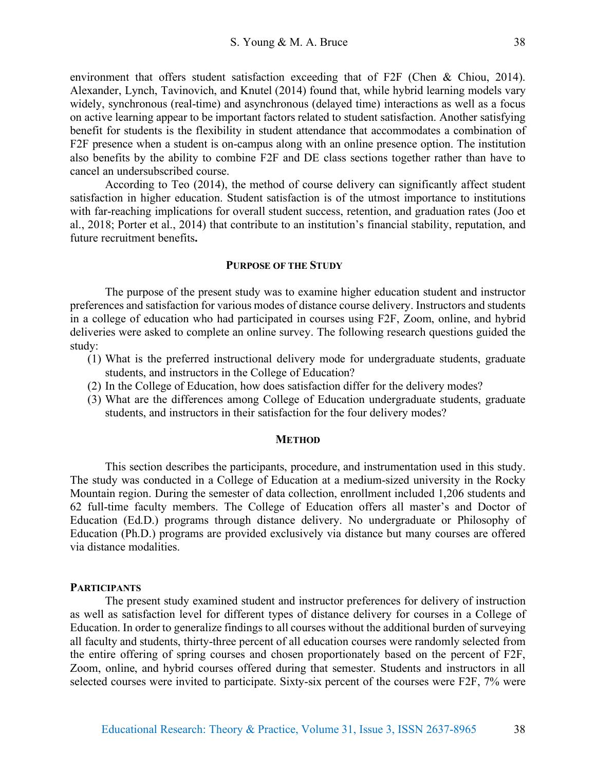environment that offers student satisfaction exceeding that of F2F (Chen & Chiou, 2014). Alexander, Lynch, Tavinovich, and Knutel (2014) found that, while hybrid learning models vary widely, synchronous (real-time) and asynchronous (delayed time) interactions as well as a focus on active learning appear to be important factors related to student satisfaction. Another satisfying benefit for students is the flexibility in student attendance that accommodates a combination of F2F presence when a student is on-campus along with an online presence option. The institution also benefits by the ability to combine F2F and DE class sections together rather than have to cancel an undersubscribed course.

According to Teo (2014), the method of course delivery can significantly affect student satisfaction in higher education. Student satisfaction is of the utmost importance to institutions with far-reaching implications for overall student success, retention, and graduation rates (Joo et al., 2018; Porter et al., 2014) that contribute to an institution's financial stability, reputation, and future recruitment benefits**.**

#### **PURPOSE OF THE STUDY**

The purpose of the present study was to examine higher education student and instructor preferences and satisfaction for various modes of distance course delivery. Instructors and students in a college of education who had participated in courses using F2F, Zoom, online, and hybrid deliveries were asked to complete an online survey. The following research questions guided the study:

- (1) What is the preferred instructional delivery mode for undergraduate students, graduate students, and instructors in the College of Education?
- (2) In the College of Education, how does satisfaction differ for the delivery modes?
- (3) What are the differences among College of Education undergraduate students, graduate students, and instructors in their satisfaction for the four delivery modes?

#### **METHOD**

This section describes the participants, procedure, and instrumentation used in this study. The study was conducted in a College of Education at a medium-sized university in the Rocky Mountain region. During the semester of data collection, enrollment included 1,206 students and 62 full-time faculty members. The College of Education offers all master's and Doctor of Education (Ed.D.) programs through distance delivery. No undergraduate or Philosophy of Education (Ph.D.) programs are provided exclusively via distance but many courses are offered via distance modalities.

#### **PARTICIPANTS**

The present study examined student and instructor preferences for delivery of instruction as well as satisfaction level for different types of distance delivery for courses in a College of Education. In order to generalize findings to all courses without the additional burden of surveying all faculty and students, thirty-three percent of all education courses were randomly selected from the entire offering of spring courses and chosen proportionately based on the percent of F2F, Zoom, online, and hybrid courses offered during that semester. Students and instructors in all selected courses were invited to participate. Sixty-six percent of the courses were F2F, 7% were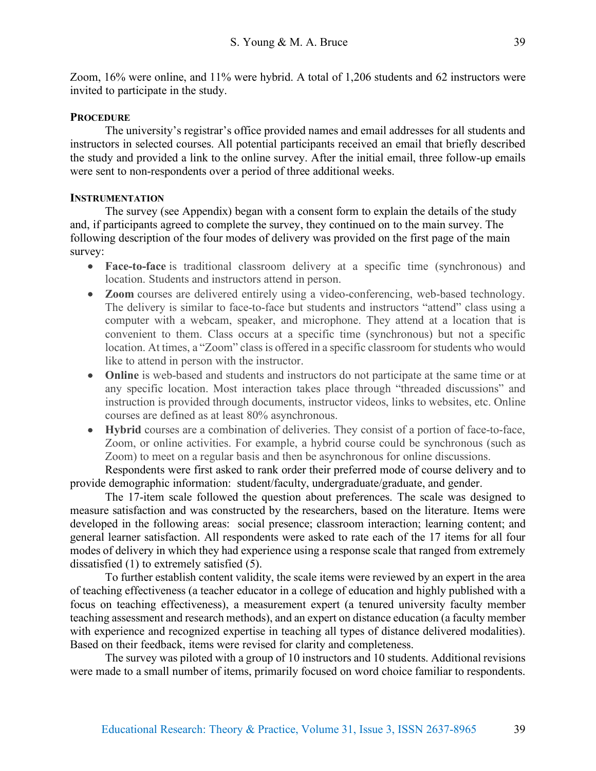Zoom, 16% were online, and 11% were hybrid. A total of 1,206 students and 62 instructors were invited to participate in the study.

## **PROCEDURE**

The university's registrar's office provided names and email addresses for all students and instructors in selected courses. All potential participants received an email that briefly described the study and provided a link to the online survey. After the initial email, three follow-up emails were sent to non-respondents over a period of three additional weeks.

## **INSTRUMENTATION**

The survey (see Appendix) began with a consent form to explain the details of the study and, if participants agreed to complete the survey, they continued on to the main survey. The following description of the four modes of delivery was provided on the first page of the main survey:

- **Face-to-face** is traditional classroom delivery at a specific time (synchronous) and location. Students and instructors attend in person.
- **Zoom** courses are delivered entirely using a video-conferencing, web-based technology. The delivery is similar to face-to-face but students and instructors "attend" class using a computer with a webcam, speaker, and microphone. They attend at a location that is convenient to them. Class occurs at a specific time (synchronous) but not a specific location. At times, a "Zoom" class is offered in a specific classroom for students who would like to attend in person with the instructor.
- **Online** is web-based and students and instructors do not participate at the same time or at any specific location. Most interaction takes place through "threaded discussions" and instruction is provided through documents, instructor videos, links to websites, etc. Online courses are defined as at least 80% asynchronous.
- **Hybrid** courses are a combination of deliveries. They consist of a portion of face-to-face, Zoom, or online activities. For example, a hybrid course could be synchronous (such as Zoom) to meet on a regular basis and then be asynchronous for online discussions.

Respondents were first asked to rank order their preferred mode of course delivery and to provide demographic information: student/faculty, undergraduate/graduate, and gender.

The 17-item scale followed the question about preferences. The scale was designed to measure satisfaction and was constructed by the researchers, based on the literature. Items were developed in the following areas: social presence; classroom interaction; learning content; and general learner satisfaction. All respondents were asked to rate each of the 17 items for all four modes of delivery in which they had experience using a response scale that ranged from extremely dissatisfied (1) to extremely satisfied (5).

To further establish content validity, the scale items were reviewed by an expert in the area of teaching effectiveness (a teacher educator in a college of education and highly published with a focus on teaching effectiveness), a measurement expert (a tenured university faculty member teaching assessment and research methods), and an expert on distance education (a faculty member with experience and recognized expertise in teaching all types of distance delivered modalities). Based on their feedback, items were revised for clarity and completeness.

The survey was piloted with a group of 10 instructors and 10 students. Additional revisions were made to a small number of items, primarily focused on word choice familiar to respondents.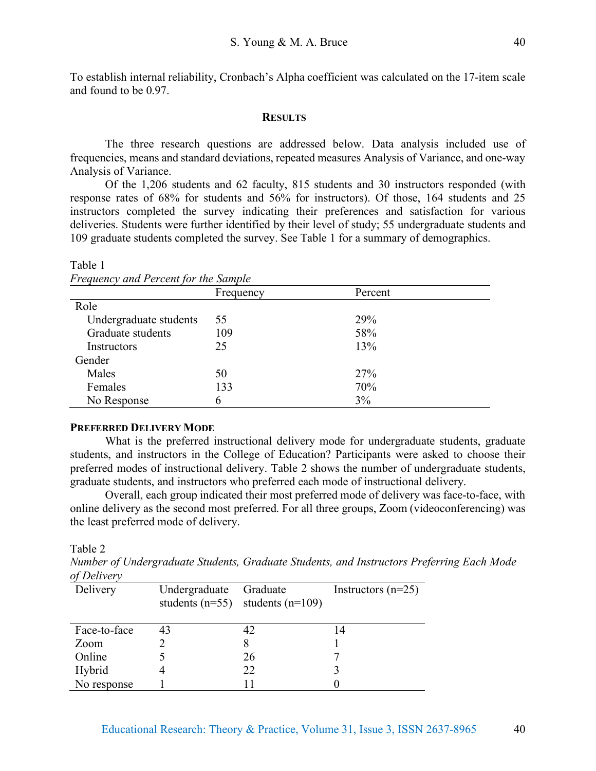To establish internal reliability, Cronbach's Alpha coefficient was calculated on the 17-item scale and found to be 0.97.

#### **RESULTS**

The three research questions are addressed below. Data analysis included use of frequencies, means and standard deviations, repeated measures Analysis of Variance, and one-way Analysis of Variance.

Of the 1,206 students and 62 faculty, 815 students and 30 instructors responded (with response rates of 68% for students and 56% for instructors). Of those, 164 students and 25 instructors completed the survey indicating their preferences and satisfaction for various deliveries. Students were further identified by their level of study; 55 undergraduate students and 109 graduate students completed the survey. See Table 1 for a summary of demographics.

| <i>Frequency and Percent for the Sample</i> |           |         |  |
|---------------------------------------------|-----------|---------|--|
|                                             | Frequency | Percent |  |
| Role                                        |           |         |  |
| Undergraduate students                      | 55        | 29%     |  |
| Graduate students                           | 109       | 58%     |  |
| Instructors                                 | 25        | 13%     |  |
| Gender                                      |           |         |  |
| Males                                       | 50        | 27%     |  |
| Females                                     | 133       | 70%     |  |
| No Response                                 | 6         | 3%      |  |
|                                             |           |         |  |

Table 1 *Frequency and Percent for the Sample*

#### **PREFERRED DELIVERY MODE**

What is the preferred instructional delivery mode for undergraduate students, graduate students, and instructors in the College of Education? Participants were asked to choose their preferred modes of instructional delivery. Table 2 shows the number of undergraduate students, graduate students, and instructors who preferred each mode of instructional delivery.

Overall, each group indicated their most preferred mode of delivery was face-to-face, with online delivery as the second most preferred. For all three groups, Zoom (videoconferencing) was the least preferred mode of delivery.

Table 2

*Number of Undergraduate Students, Graduate Students, and Instructors Preferring Each Mode of Delivery*

| -------      |               |                                                  |                      |
|--------------|---------------|--------------------------------------------------|----------------------|
| Delivery     | Undergraduate | Graduate<br>students $(n=55)$ students $(n=109)$ | Instructors $(n=25)$ |
| Face-to-face | 43            |                                                  | 14                   |
| Zoom         |               |                                                  |                      |
| Online       |               | 26                                               |                      |
| Hybrid       |               | 22                                               |                      |
| No response  |               |                                                  |                      |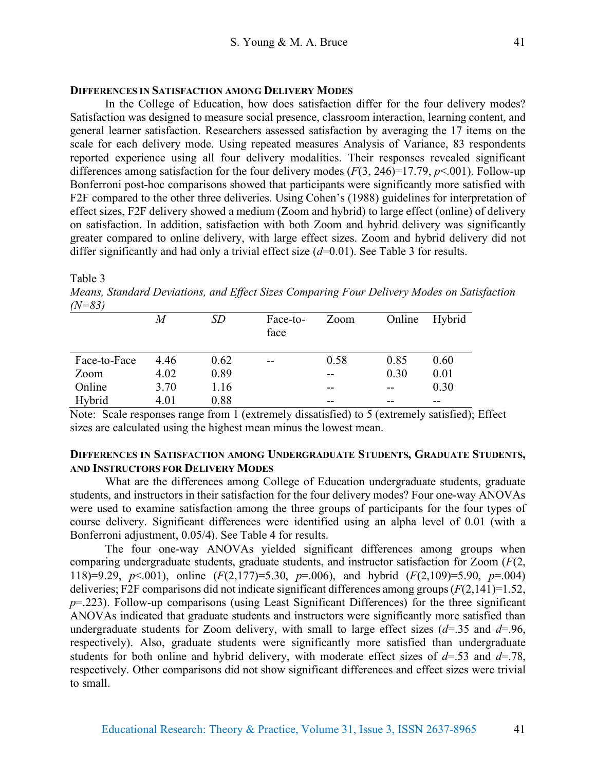#### **DIFFERENCES IN SATISFACTION AMONG DELIVERY MODES**

In the College of Education, how does satisfaction differ for the four delivery modes? Satisfaction was designed to measure social presence, classroom interaction, learning content, and general learner satisfaction. Researchers assessed satisfaction by averaging the 17 items on the scale for each delivery mode. Using repeated measures Analysis of Variance, 83 respondents reported experience using all four delivery modalities. Their responses revealed significant differences among satisfaction for the four delivery modes (*F*(3, 246)=17.79, *p*<.001). Follow-up Bonferroni post-hoc comparisons showed that participants were significantly more satisfied with F2F compared to the other three deliveries. Using Cohen's (1988) guidelines for interpretation of effect sizes, F2F delivery showed a medium (Zoom and hybrid) to large effect (online) of delivery on satisfaction. In addition, satisfaction with both Zoom and hybrid delivery was significantly greater compared to online delivery, with large effect sizes. Zoom and hybrid delivery did not differ significantly and had only a trivial effect size ( $d=0.01$ ). See Table 3 for results.

Table 3

*Means, Standard Deviations, and Effect Sizes Comparing Four Delivery Modes on Satisfaction (N=83)*

|              | M    | SD   | Face-to-<br>face | Zoom | Online | Hybrid |
|--------------|------|------|------------------|------|--------|--------|
| Face-to-Face | 4.46 | 0.62 | --               | 0.58 | 0.85   | 0.60   |
| Zoom         | 4.02 | 0.89 |                  | --   | 0.30   | 0.01   |
| Online       | 3.70 | 1.16 |                  | --   | --     | 0.30   |
| Hybrid       | 4.01 | 0.88 |                  | --   | --     | --     |

Note: Scale responses range from 1 (extremely dissatisfied) to 5 (extremely satisfied); Effect sizes are calculated using the highest mean minus the lowest mean.

# **DIFFERENCES IN SATISFACTION AMONG UNDERGRADUATE STUDENTS, GRADUATE STUDENTS, AND INSTRUCTORS FOR DELIVERY MODES**

What are the differences among College of Education undergraduate students, graduate students, and instructors in their satisfaction for the four delivery modes? Four one-way ANOVAs were used to examine satisfaction among the three groups of participants for the four types of course delivery. Significant differences were identified using an alpha level of 0.01 (with a Bonferroni adjustment, 0.05/4). See Table 4 for results.

The four one-way ANOVAs yielded significant differences among groups when comparing undergraduate students, graduate students, and instructor satisfaction for Zoom (*F*(2, 118)=9.29, *p*<.001), online (*F*(2,177)=5.30, *p*=.006), and hybrid (*F*(2,109)=5.90, *p*=.004) deliveries; F2F comparisons did not indicate significant differences among groups (*F*(2,141)=1.52, *p*=.223). Follow-up comparisons (using Least Significant Differences) for the three significant ANOVAs indicated that graduate students and instructors were significantly more satisfied than undergraduate students for Zoom delivery, with small to large effect sizes  $(d=0.35)$  and  $d=0.96$ , respectively). Also, graduate students were significantly more satisfied than undergraduate students for both online and hybrid delivery, with moderate effect sizes of *d*=.53 and *d*=.78, respectively. Other comparisons did not show significant differences and effect sizes were trivial to small.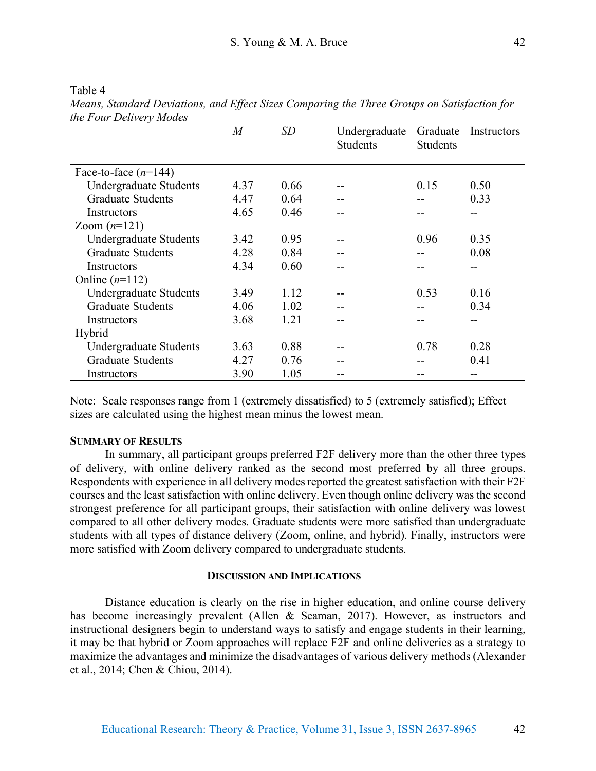| the Four Delivery Modes       | $\overline{M}$ | SD   |                                  |                             |             |
|-------------------------------|----------------|------|----------------------------------|-----------------------------|-------------|
|                               |                |      | Undergraduate<br><b>Students</b> | Graduate<br><b>Students</b> | Instructors |
| Face-to-face $(n=144)$        |                |      |                                  |                             |             |
| <b>Undergraduate Students</b> | 4.37           | 0.66 |                                  | 0.15                        | 0.50        |
| <b>Graduate Students</b>      | 4.47           | 0.64 |                                  |                             | 0.33        |
| Instructors                   | 4.65           | 0.46 | --                               |                             |             |
| Zoom $(n=121)$                |                |      |                                  |                             |             |
| Undergraduate Students        | 3.42           | 0.95 |                                  | 0.96                        | 0.35        |
| <b>Graduate Students</b>      | 4.28           | 0.84 |                                  |                             | 0.08        |
| Instructors                   | 4.34           | 0.60 | --                               | --                          | --          |
| Online $(n=112)$              |                |      |                                  |                             |             |
| <b>Undergraduate Students</b> | 3.49           | 1.12 |                                  | 0.53                        | 0.16        |
| <b>Graduate Students</b>      | 4.06           | 1.02 | --                               |                             | 0.34        |
| Instructors                   | 3.68           | 1.21 | --                               |                             |             |
| Hybrid                        |                |      |                                  |                             |             |
| <b>Undergraduate Students</b> | 3.63           | 0.88 |                                  | 0.78                        | 0.28        |
| <b>Graduate Students</b>      | 4.27           | 0.76 |                                  |                             | 0.41        |
| Instructors                   | 3.90           | 1.05 |                                  |                             |             |

Table 4 *Means, Standard Deviations, and Effect Sizes Comparing the Three Groups on Satisfaction for the Four Delivery Modes*

Note: Scale responses range from 1 (extremely dissatisfied) to 5 (extremely satisfied); Effect sizes are calculated using the highest mean minus the lowest mean.

### **SUMMARY OF RESULTS**

In summary, all participant groups preferred F2F delivery more than the other three types of delivery, with online delivery ranked as the second most preferred by all three groups. Respondents with experience in all delivery modes reported the greatest satisfaction with their F2F courses and the least satisfaction with online delivery. Even though online delivery was the second strongest preference for all participant groups, their satisfaction with online delivery was lowest compared to all other delivery modes. Graduate students were more satisfied than undergraduate students with all types of distance delivery (Zoom, online, and hybrid). Finally, instructors were more satisfied with Zoom delivery compared to undergraduate students.

#### **DISCUSSION AND IMPLICATIONS**

Distance education is clearly on the rise in higher education, and online course delivery has become increasingly prevalent (Allen & Seaman, 2017). However, as instructors and instructional designers begin to understand ways to satisfy and engage students in their learning, it may be that hybrid or Zoom approaches will replace F2F and online deliveries as a strategy to maximize the advantages and minimize the disadvantages of various delivery methods (Alexander et al., 2014; Chen & Chiou, 2014).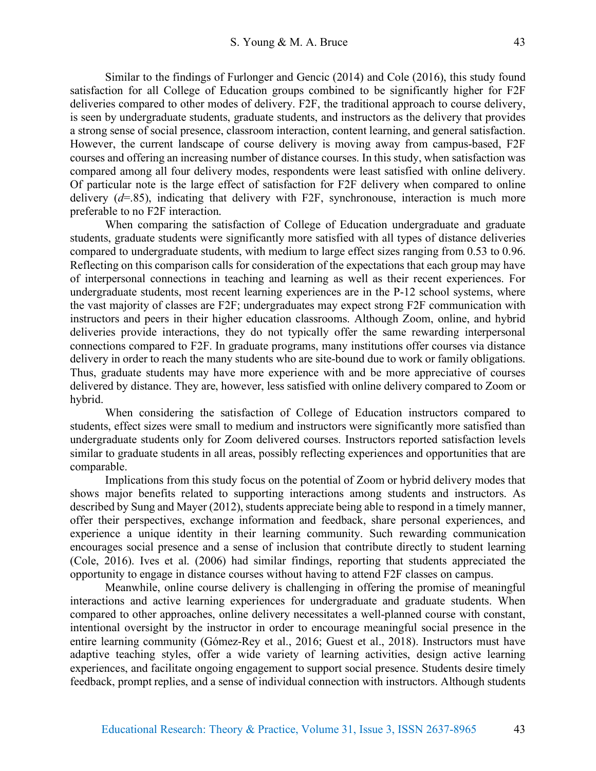Similar to the findings of Furlonger and Gencic (2014) and Cole (2016), this study found satisfaction for all College of Education groups combined to be significantly higher for F2F deliveries compared to other modes of delivery. F2F, the traditional approach to course delivery, is seen by undergraduate students, graduate students, and instructors as the delivery that provides a strong sense of social presence, classroom interaction, content learning, and general satisfaction. However, the current landscape of course delivery is moving away from campus-based, F2F courses and offering an increasing number of distance courses. In this study, when satisfaction was compared among all four delivery modes, respondents were least satisfied with online delivery. Of particular note is the large effect of satisfaction for F2F delivery when compared to online delivery (*d*=.85), indicating that delivery with F2F, synchronouse, interaction is much more preferable to no F2F interaction.

When comparing the satisfaction of College of Education undergraduate and graduate students, graduate students were significantly more satisfied with all types of distance deliveries compared to undergraduate students, with medium to large effect sizes ranging from 0.53 to 0.96. Reflecting on this comparison calls for consideration of the expectations that each group may have of interpersonal connections in teaching and learning as well as their recent experiences. For undergraduate students, most recent learning experiences are in the P-12 school systems, where the vast majority of classes are F2F; undergraduates may expect strong F2F communication with instructors and peers in their higher education classrooms. Although Zoom, online, and hybrid deliveries provide interactions, they do not typically offer the same rewarding interpersonal connections compared to F2F. In graduate programs, many institutions offer courses via distance delivery in order to reach the many students who are site-bound due to work or family obligations. Thus, graduate students may have more experience with and be more appreciative of courses delivered by distance. They are, however, less satisfied with online delivery compared to Zoom or hybrid.

When considering the satisfaction of College of Education instructors compared to students, effect sizes were small to medium and instructors were significantly more satisfied than undergraduate students only for Zoom delivered courses. Instructors reported satisfaction levels similar to graduate students in all areas, possibly reflecting experiences and opportunities that are comparable.

Implications from this study focus on the potential of Zoom or hybrid delivery modes that shows major benefits related to supporting interactions among students and instructors. As described by Sung and Mayer (2012), students appreciate being able to respond in a timely manner, offer their perspectives, exchange information and feedback, share personal experiences, and experience a unique identity in their learning community. Such rewarding communication encourages social presence and a sense of inclusion that contribute directly to student learning (Cole, 2016). Ives et al. (2006) had similar findings, reporting that students appreciated the opportunity to engage in distance courses without having to attend F2F classes on campus.

Meanwhile, online course delivery is challenging in offering the promise of meaningful interactions and active learning experiences for undergraduate and graduate students. When compared to other approaches, online delivery necessitates a well-planned course with constant, intentional oversight by the instructor in order to encourage meaningful social presence in the entire learning community (Gómez-Rey et al., 2016; Guest et al., 2018). Instructors must have adaptive teaching styles, offer a wide variety of learning activities, design active learning experiences, and facilitate ongoing engagement to support social presence. Students desire timely feedback, prompt replies, and a sense of individual connection with instructors. Although students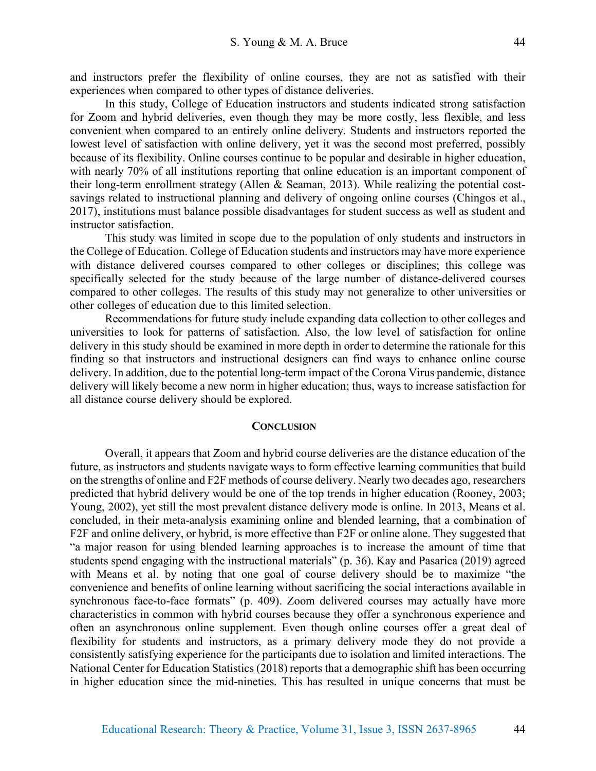and instructors prefer the flexibility of online courses, they are not as satisfied with their experiences when compared to other types of distance deliveries.

In this study, College of Education instructors and students indicated strong satisfaction for Zoom and hybrid deliveries, even though they may be more costly, less flexible, and less convenient when compared to an entirely online delivery. Students and instructors reported the lowest level of satisfaction with online delivery, yet it was the second most preferred, possibly because of its flexibility. Online courses continue to be popular and desirable in higher education, with nearly 70% of all institutions reporting that online education is an important component of their long-term enrollment strategy (Allen & Seaman, 2013). While realizing the potential costsavings related to instructional planning and delivery of ongoing online courses (Chingos et al., 2017), institutions must balance possible disadvantages for student success as well as student and instructor satisfaction.

This study was limited in scope due to the population of only students and instructors in the College of Education. College of Education students and instructors may have more experience with distance delivered courses compared to other colleges or disciplines; this college was specifically selected for the study because of the large number of distance-delivered courses compared to other colleges. The results of this study may not generalize to other universities or other colleges of education due to this limited selection.

Recommendations for future study include expanding data collection to other colleges and universities to look for patterns of satisfaction. Also, the low level of satisfaction for online delivery in this study should be examined in more depth in order to determine the rationale for this finding so that instructors and instructional designers can find ways to enhance online course delivery. In addition, due to the potential long-term impact of the Corona Virus pandemic, distance delivery will likely become a new norm in higher education; thus, ways to increase satisfaction for all distance course delivery should be explored.

#### **CONCLUSION**

Overall, it appears that Zoom and hybrid course deliveries are the distance education of the future, as instructors and students navigate ways to form effective learning communities that build on the strengths of online and F2F methods of course delivery. Nearly two decades ago, researchers predicted that hybrid delivery would be one of the top trends in higher education (Rooney, 2003; Young, 2002), yet still the most prevalent distance delivery mode is online. In 2013, Means et al. concluded, in their meta-analysis examining online and blended learning, that a combination of F2F and online delivery, or hybrid, is more effective than F2F or online alone. They suggested that "a major reason for using blended learning approaches is to increase the amount of time that students spend engaging with the instructional materials" (p. 36). Kay and Pasarica (2019) agreed with Means et al. by noting that one goal of course delivery should be to maximize "the convenience and benefits of online learning without sacrificing the social interactions available in synchronous face-to-face formats" (p. 409). Zoom delivered courses may actually have more characteristics in common with hybrid courses because they offer a synchronous experience and often an asynchronous online supplement. Even though online courses offer a great deal of flexibility for students and instructors, as a primary delivery mode they do not provide a consistently satisfying experience for the participants due to isolation and limited interactions. The National Center for Education Statistics (2018) reports that a demographic shift has been occurring in higher education since the mid-nineties. This has resulted in unique concerns that must be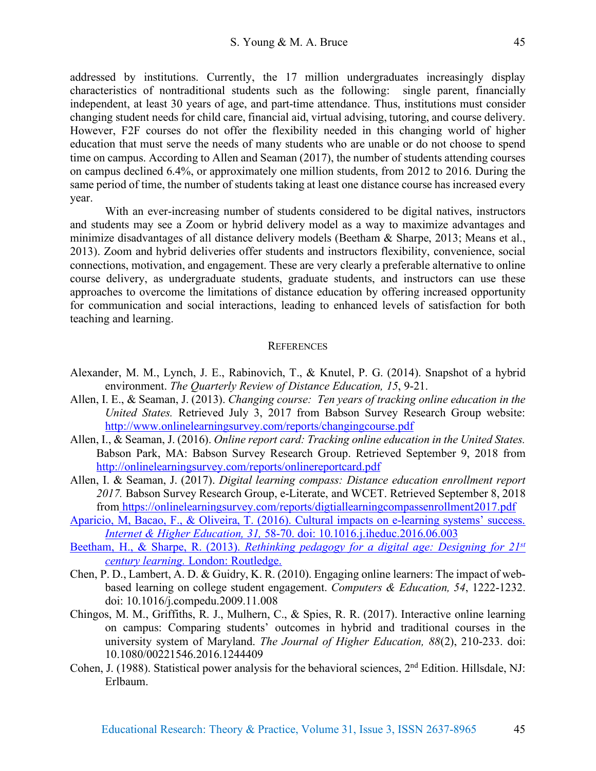addressed by institutions. Currently, the 17 million undergraduates increasingly display characteristics of nontraditional students such as the following: single parent, financially independent, at least 30 years of age, and part-time attendance. Thus, institutions must consider changing student needs for child care, financial aid, virtual advising, tutoring, and course delivery. However, F2F courses do not offer the flexibility needed in this changing world of higher education that must serve the needs of many students who are unable or do not choose to spend time on campus. According to Allen and Seaman (2017), the number of students attending courses on campus declined 6.4%, or approximately one million students, from 2012 to 2016. During the same period of time, the number of students taking at least one distance course has increased every year.

With an ever-increasing number of students considered to be digital natives, instructors and students may see a Zoom or hybrid delivery model as a way to maximize advantages and minimize disadvantages of all distance delivery models (Beetham & Sharpe, 2013; Means et al., 2013). Zoom and hybrid deliveries offer students and instructors flexibility, convenience, social connections, motivation, and engagement. These are very clearly a preferable alternative to online course delivery, as undergraduate students, graduate students, and instructors can use these approaches to overcome the limitations of distance education by offering increased opportunity for communication and social interactions, leading to enhanced levels of satisfaction for both teaching and learning.

#### **REFERENCES**

- Alexander, M. M., Lynch, J. E., Rabinovich, T., & Knutel, P. G. (2014). Snapshot of a hybrid environment. *The Quarterly Review of Distance Education, 15*, 9-21.
- Allen, I. E., & Seaman, J. (2013). *Changing course: Ten years of tracking online education in the United States.* Retrieved July 3, 2017 from Babson Survey Research Group website: http://www.onlinelearningsurvey.com/reports/changingcourse.pdf
- Allen, I., & Seaman, J. (2016). *Online report card: Tracking online education in the United States.* Babson Park, MA: Babson Survey Research Group. Retrieved September 9, 2018 from http://onlinelearningsurvey.com/reports/onlinereportcard.pdf
- Allen, I. & Seaman, J. (2017). *Digital learning compass: Distance education enrollment report 2017.* Babson Survey Research Group, e-Literate, and WCET. Retrieved September 8, 2018 from https://onlinelearningsurvey.com/reports/digtiallearningcompassenrollment2017.pdf
- Aparicio, M, Bacao, F., & Oliveira, T. (2016). Cultural impacts on e-learning systems' success. *Internet & Higher Education, 31,* 58-70. doi: 10.1016.j.iheduc.2016.06.003
- Beetham, H., & Sharpe, R. (2013). *Rethinking pedagogy for a digital age: Designing for 21st century learning.* London: Routledge.
- Chen, P. D., Lambert, A. D. & Guidry, K. R. (2010). Engaging online learners: The impact of webbased learning on college student engagement. *Computers & Education, 54*, 1222-1232. doi: 10.1016/j.compedu.2009.11.008
- Chingos, M. M., Griffiths, R. J., Mulhern, C., & Spies, R. R. (2017). Interactive online learning on campus: Comparing students' outcomes in hybrid and traditional courses in the university system of Maryland. *The Journal of Higher Education, 88*(2), 210-233. doi: 10.1080/00221546.2016.1244409
- Cohen, J. (1988). Statistical power analysis for the behavioral sciences, 2<sup>nd</sup> Edition. Hillsdale, NJ: Erlbaum.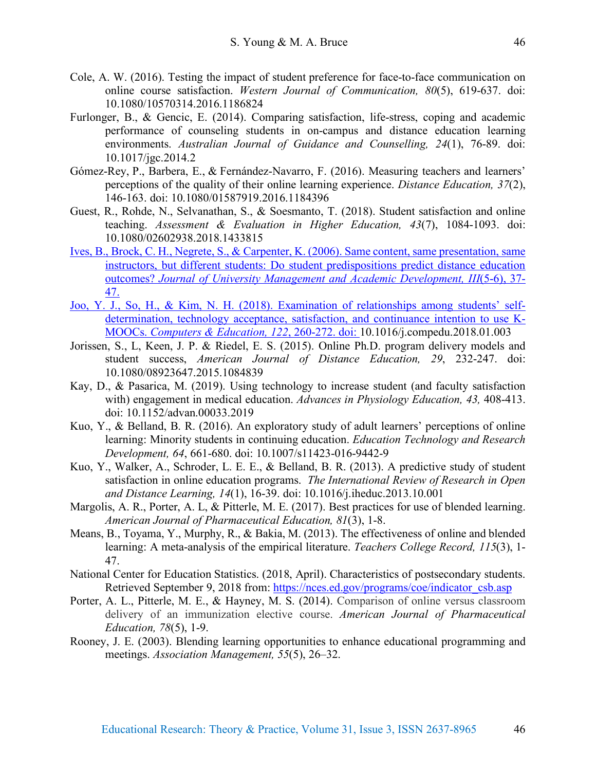- Cole, A. W. (2016). Testing the impact of student preference for face-to-face communication on online course satisfaction. *Western Journal of Communication, 80*(5), 619-637. doi: 10.1080/10570314.2016.1186824
- Furlonger, B., & Gencic, E. (2014). Comparing satisfaction, life-stress, coping and academic performance of counseling students in on-campus and distance education learning environments. *Australian Journal of Guidance and Counselling, 24*(1), 76-89. doi: 10.1017/jgc.2014.2
- Gómez-Rey, P., Barbera, E., & Fernández-Navarro, F. (2016). Measuring teachers and learners' perceptions of the quality of their online learning experience. *Distance Education, 37*(2), 146-163. doi: 10.1080/01587919.2016.1184396
- Guest, R., Rohde, N., Selvanathan, S., & Soesmanto, T. (2018). Student satisfaction and online teaching. *Assessment & Evaluation in Higher Education, 43*(7), 1084-1093. doi: 10.1080/02602938.2018.1433815
- Ives, B., Brock, C. H., Negrete, S., & Carpenter, K. (2006). Same content, same presentation, same instructors, but different students: Do student predispositions predict distance education outcomes? *Journal of University Management and Academic Development, III*(5-6), 37- 47.
- Joo, Y. J., So, H., & Kim, N. H. (2018). Examination of relationships among students' selfdetermination, technology acceptance, satisfaction, and continuance intention to use K-MOOCs. *Computers & Education, 122*, 260-272. doi: 10.1016/j.compedu.2018.01.003
- Jorissen, S., L, Keen, J. P. & Riedel, E. S. (2015). Online Ph.D. program delivery models and student success, *American Journal of Distance Education, 29*, 232-247. doi: 10.1080/08923647.2015.1084839
- Kay, D., & Pasarica, M. (2019). Using technology to increase student (and faculty satisfaction with) engagement in medical education. *Advances in Physiology Education, 43,* 408-413. doi: 10.1152/advan.00033.2019
- Kuo, Y., & Belland, B. R. (2016). An exploratory study of adult learners' perceptions of online learning: Minority students in continuing education. *Education Technology and Research Development, 64*, 661-680. doi: 10.1007/s11423-016-9442-9
- Kuo, Y., Walker, A., Schroder, L. E. E., & Belland, B. R. (2013). A predictive study of student satisfaction in online education programs. *The International Review of Research in Open and Distance Learning, 14*(1), 16-39. doi: 10.1016/j.iheduc.2013.10.001
- Margolis, A. R., Porter, A. L, & Pitterle, M. E. (2017). Best practices for use of blended learning. *American Journal of Pharmaceutical Education, 81*(3), 1-8.
- Means, B., Toyama, Y., Murphy, R., & Bakia, M. (2013). The effectiveness of online and blended learning: A meta-analysis of the empirical literature. *Teachers College Record, 115*(3), 1- 47.
- National Center for Education Statistics. (2018, April). Characteristics of postsecondary students. Retrieved September 9, 2018 from: https://nces.ed.gov/programs/coe/indicator\_csb.asp
- Porter, A. L., Pitterle, M. E., & Hayney, M. S. (2014). Comparison of online versus classroom delivery of an immunization elective course. *American Journal of Pharmaceutical Education, 78*(5), 1-9.
- Rooney, J. E. (2003). Blending learning opportunities to enhance educational programming and meetings. *Association Management, 55*(5), 26–32.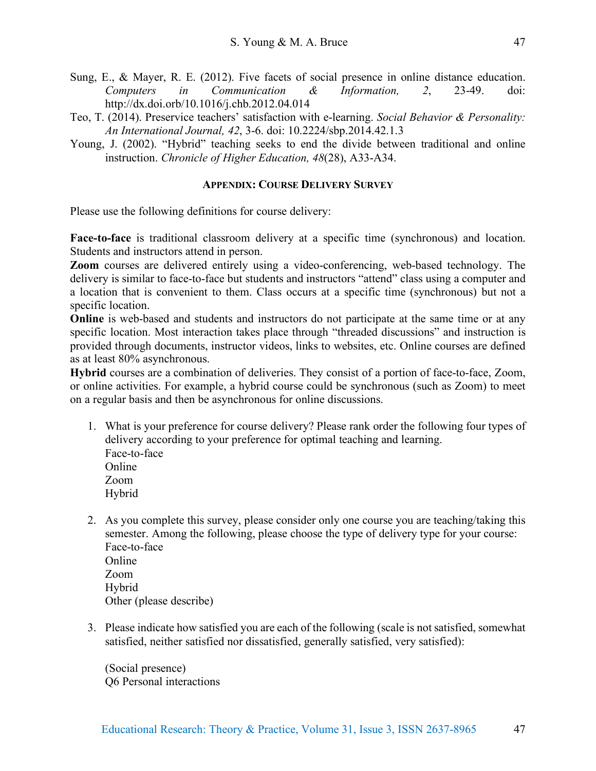- Sung, E., & Mayer, R. E. (2012). Five facets of social presence in online distance education. *Computers in Communication & Information, 2*, 23-49. doi: http://dx.doi.orb/10.1016/j.chb.2012.04.014
- Teo, T. (2014). Preservice teachers' satisfaction with e-learning. *Social Behavior & Personality: An International Journal, 42*, 3-6. doi: 10.2224/sbp.2014.42.1.3
- Young, J. (2002). "Hybrid" teaching seeks to end the divide between traditional and online instruction. *Chronicle of Higher Education, 48*(28), A33-A34.

# **APPENDIX: COURSE DELIVERY SURVEY**

Please use the following definitions for course delivery:

**Face-to-face** is traditional classroom delivery at a specific time (synchronous) and location. Students and instructors attend in person.

**Zoom** courses are delivered entirely using a video-conferencing, web-based technology. The delivery is similar to face-to-face but students and instructors "attend" class using a computer and a location that is convenient to them. Class occurs at a specific time (synchronous) but not a specific location.

**Online** is web-based and students and instructors do not participate at the same time or at any specific location. Most interaction takes place through "threaded discussions" and instruction is provided through documents, instructor videos, links to websites, etc. Online courses are defined as at least 80% asynchronous.

**Hybrid** courses are a combination of deliveries. They consist of a portion of face-to-face, Zoom, or online activities. For example, a hybrid course could be synchronous (such as Zoom) to meet on a regular basis and then be asynchronous for online discussions.

- 1. What is your preference for course delivery? Please rank order the following four types of delivery according to your preference for optimal teaching and learning. Face-to-face **Online** 
	- Zoom Hybrid
- 2. As you complete this survey, please consider only one course you are teaching/taking this semester. Among the following, please choose the type of delivery type for your course: Face-to-face **Online** Zoom Hybrid Other (please describe)
- 3. Please indicate how satisfied you are each of the following (scale is not satisfied, somewhat satisfied, neither satisfied nor dissatisfied, generally satisfied, very satisfied):

(Social presence) Q6 Personal interactions